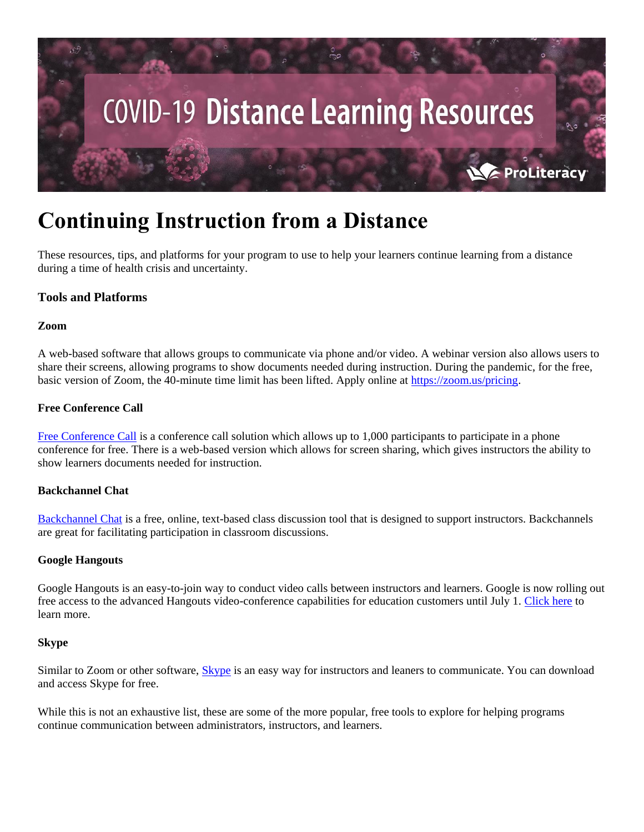

# **Continuing Instruction from a Distance**

These resources, tips, and platforms for your program to use to help your learners continue learning from a distance during a time of health crisis and uncertainty.

# **Tools and Platforms**

#### **Zoom**

A web-based software that allows groups to communicate via phone and/or video. A webinar version also allows users to share their screens, allowing programs to show documents needed during instruction. During the pandemic, for the free, basic version of Zoom, the 40-minute time limit has been lifted. Apply online at [https://zoom.us/pricing.](https://zoom.us/pricing)

## **Free Conference Call**

[Free Conference Call](https://www.freeconferencecall.com/) is a conference call solution which allows up to 1,000 participants to participate in a phone conference for free. There is a web-based version which allows for screen sharing, which gives instructors the ability to show learners documents needed for instruction.

## **Backchannel Chat**

[Backchannel Chat](http://backchannelchat.com/) is a free, online, text-based class discussion tool that is designed to support instructors. Backchannels are great for facilitating participation in classroom discussions.

## **Google Hangouts**

Google Hangouts is an easy-to-join way to conduct video calls between instructors and learners. Google is now rolling out free access to the advanced Hangouts video-conference capabilities for education customers until July 1. [Click here](https://gsuite.google.com/products/meet/?utm_source=google&utm_medium=cpc&utm_campaign=na-US-all-en-dr-bkws-all-all-trial-e-dr-1008072&utm_content=text-ad-none-any-DEV_c-CRE_246638620286-ADGP_Hybrid%20%7C%20AW%20SEM%20%7C%20BKWS%20~%20EXA%20%2F%2F%20Hangouts%20%5B1:1%5D%20Google%20Hangouts-KWID_43700015211414153-kwd-362516399437&utm_term=KW_google%20hangouts-ST_google%20hangouts&gclid=CjwKCAjwgbLzBRBsEiwAXVIygMfCkW7EHToA1xP82PfvUMU6N1y5AZIrEwsPDI8NWrSiQc72bjiVmRoCPycQAvD_BwE&gclsrc=aw.ds) to learn more.

## **Skype**

Similar to Zoom or other software, **Skype** is an easy way for instructors and leaners to communicate. You can download and access Skype for free.

While this is not an exhaustive list, these are some of the more popular, free tools to explore for helping programs continue communication between administrators, instructors, and learners.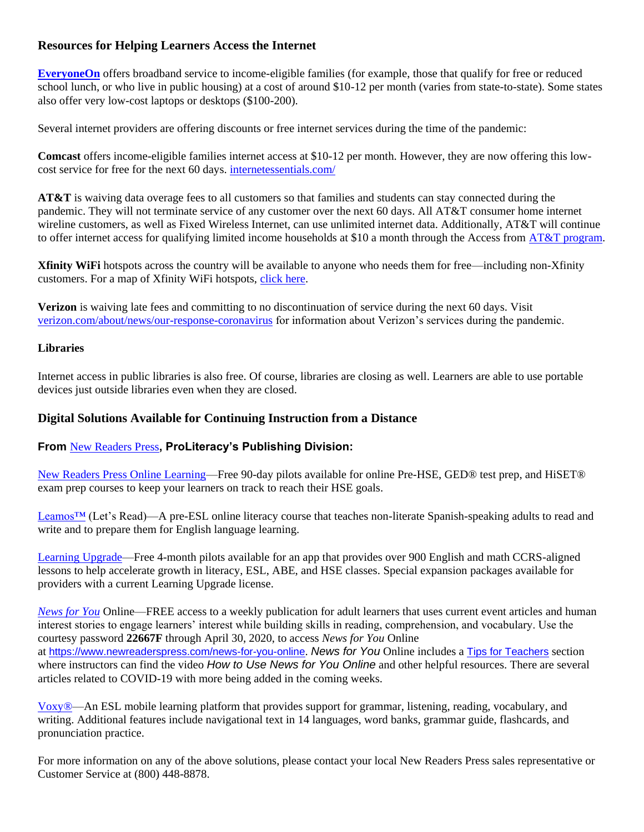# **Resources for Helping Learners Access the Internet**

**[EveryoneOn](https://www.everyoneon.org/)** offers broadband service to income-eligible families (for example, those that qualify for free or reduced school lunch, or who live in public housing) at a cost of around \$10-12 per month (varies from state-to-state). Some states also offer very low-cost laptops or desktops (\$100-200).

Several internet providers are offering discounts or free internet services during the time of the pandemic:

**Comcast** offers income-eligible families internet access at \$10-12 per month. However, they are now offering this lowcost service for free for the next 60 days. [internetessentials.com/](https://www.internetessentials.com/)

**AT&T** is waiving data overage fees to all customers so that families and students can stay connected during the pandemic. They will not terminate service of any customer over the next 60 days. All AT&T consumer home internet wireline customers, as well as Fixed Wireless Internet, can use unlimited internet data. Additionally, AT&T will continue to offer internet access for qualifying limited income households at \$10 a month through the Access from [AT&T program.](https://about.att.com/pages/COVID-19.html)

**Xfinity WiFi** hotspots across the country will be available to anyone who needs them for free—including non-Xfinity customers. For a map of Xfinity WiFi hotspots, [click here.](https://wifi.xfinity.com/)

**Verizon** is waiving late fees and committing to no discontinuation of service during the next 60 days. Visit [verizon.com/about/news/our-response-coronavirus](https://www.verizon.com/about/news/our-response-coronavirus) for information about Verizon's services during the pandemic.

## **Libraries**

Internet access in public libraries is also free. Of course, libraries are closing as well. Learners are able to use portable devices just outside libraries even when they are closed.

# **Digital Solutions Available for Continuing Instruction from a Distance**

# **From** [New Readers Press](https://www.newreaderspress.com/digital-solutions)**, ProLiteracy's Publishing Division:**

[New Readers Press Online Learning—](https://www.newreaderspress.com/digital-solutions)Free 90-day pilots available for online Pre-HSE, GED® test prep, and HiSET® exam prep courses to keep your learners on track to reach their HSE goals.

[Leamos™](https://www.proliteracy.org/What-We-Do/Leamos/How-Leamos-Works) (Let's Read)—A pre-ESL online literacy course that teaches non-literate Spanish-speaking adults to read and write and to prepare them for English language learning.

[Learning Upgrade—](https://www.newreaderspress.com/learning-upgrade)Free 4-month pilots available for an app that provides over 900 English and math CCRS-aligned lessons to help accelerate growth in literacy, ESL, ABE, and HSE classes. Special expansion packages available for providers with a current Learning Upgrade license.

*[News for You](https://www.newreaderspress.com/news-for-you-subscription)* Online—FREE access to a weekly publication for adult learners that uses current event articles and human interest stories to engage learners' interest while building skills in reading, comprehension, and vocabulary. Use the courtesy password **22667F** through April 30, 2020, to access *News for You* Online at <https://www.newreaderspress.com/news-for-you-online>. *News for You* Online includes a [Tips for Teachers](https://www.newreaderspress.com/teachers) section where instructors can find the video *How to Use News for You Online* and other helpful resources. There are several articles related to COVID-19 with more being added in the coming weeks.

[Voxy®—](https://www.newreaderspress.com/voxy)An ESL mobile learning platform that provides support for grammar, listening, reading, vocabulary, and writing. Additional features include navigational text in 14 languages, word banks, grammar guide, flashcards, and pronunciation practice.

For more information on any of the above solutions, please contact your local New Readers Press sales representative or Customer Service at (800) 448-8878.